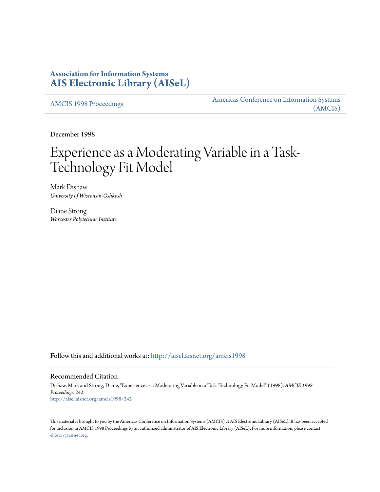# **Association for Information Systems [AIS Electronic Library \(AISeL\)](http://aisel.aisnet.org?utm_source=aisel.aisnet.org%2Famcis1998%2F242&utm_medium=PDF&utm_campaign=PDFCoverPages)**

[AMCIS 1998 Proceedings](http://aisel.aisnet.org/amcis1998?utm_source=aisel.aisnet.org%2Famcis1998%2F242&utm_medium=PDF&utm_campaign=PDFCoverPages)

[Americas Conference on Information Systems](http://aisel.aisnet.org/amcis?utm_source=aisel.aisnet.org%2Famcis1998%2F242&utm_medium=PDF&utm_campaign=PDFCoverPages) [\(AMCIS\)](http://aisel.aisnet.org/amcis?utm_source=aisel.aisnet.org%2Famcis1998%2F242&utm_medium=PDF&utm_campaign=PDFCoverPages)

December 1998

# Experience as a Moderating Variable in a Task-Technology Fit Model

Mark Dishaw *University of Wisconsin-Oshkosh*

Diane Strong *Worcester Polytechnic Institute*

Follow this and additional works at: [http://aisel.aisnet.org/amcis1998](http://aisel.aisnet.org/amcis1998?utm_source=aisel.aisnet.org%2Famcis1998%2F242&utm_medium=PDF&utm_campaign=PDFCoverPages)

#### Recommended Citation

Dishaw, Mark and Strong, Diane, "Experience as a Moderating Variable in a Task-Technology Fit Model" (1998). *AMCIS 1998 Proceedings*. 242. [http://aisel.aisnet.org/amcis1998/242](http://aisel.aisnet.org/amcis1998/242?utm_source=aisel.aisnet.org%2Famcis1998%2F242&utm_medium=PDF&utm_campaign=PDFCoverPages)

This material is brought to you by the Americas Conference on Information Systems (AMCIS) at AIS Electronic Library (AISeL). It has been accepted for inclusion in AMCIS 1998 Proceedings by an authorized administrator of AIS Electronic Library (AISeL). For more information, please contact [elibrary@aisnet.org.](mailto:elibrary@aisnet.org%3E)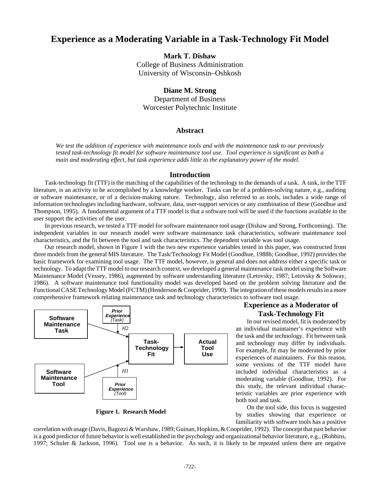# **Experience as a Moderating Variable in a Task-Technology Fit Model**

## **Mark T. Dishaw**

College of Business Administration University of Wisconsin–Oshkosh

#### **Diane M. Strong**

Department of Business Worcester Polytechnic Institute

# **Abstract**

*We test the addition of experience with maintenance tools and with the maintenance task to our previously tested task-technology fit model for software maintenance tool use. Tool experience is significant as both a main and moderating effect, but task experience adds little to the explanatory power of the model.*

#### **Introduction**

Task-technology fit (TTF) is the matching of the capabilities of the technology to the demands of a task. A task, in the TTF literature, is an activity to be accomplished by a knowledge worker. Tasks can be of a problem-solving nature, e.g., auditing or software maintenance, or of a decision-making nature. Technology, also referred to as tools, includes a wide range of information technologies including hardware, software, data, user-support services or any combination of these (Goodhue and Thompson, 1995). A fundamental argument of a TTF model is that a software tool will be used if the functions available to the user support the activities of the user.

In previous research, we tested a TTF model for software maintenance tool usage (Dishaw and Strong, Forthcoming). The independent variables in our research model were software maintenance task characteristics, software maintenance tool characteristics, and the fit between the tool and task characteristics. The dependent variable was tool usage.

Our research model, shown in Figure 1 with the two new experience variables tested in this paper, was constructed from three models from the general MIS literature. The Task/Technology Fit Model (Goodhue, 1988b; Goodhue, 1992) provides the basic framework for examining tool usage. The TTF model, however, is general and does not address either a specific task or technology. To adapt the TTF model to our research context, we developed a general maintenance task model using the Software Maintenance Model (Vessey, 1986), augmented by software understanding literature (Letovsky, 1987; Letovsky & Soloway, 1986). A software maintenance tool functionality model was developed based on the problem solving literature and the Functional CASE Technology Model (FCTM) (Henderson & Cooprider, 1990). The integration of these models results in a more comprehensive framework relating maintenance task and technology characteristics to software tool usage.



**Figure 1. Research Model**

# **Experience as a Moderator of Task-Technology Fit**

In our revised model, fit is moderated by an individual maintainer's experience with the task and the technology. Fit between task and technology may differ by individuals. For example, fit may be moderated by prior experiences of maintainers. For this reason, some versions of the TTF model have included individual characteristics as a moderating variable (Goodhue, 1992). For this study, the relevant individual characteristic variables are prior experience with both tool and task.

On the tool side, this focus is suggested by studies showing that experience or familiarity with software tools has a positive

correlation with usage (Davis, Bagozzi & Warshaw, 1989; Guinan, Hopkins, & Cooprider, 1992). The concept that past behavior is a good predictor of future behavior is well established in the psychology and organizational behavior literature, e.g., (Robbins, 1997; Schuler & Jackson, 1996). Tool use is a behavior. As such, it is likely to be repeated unless there are negative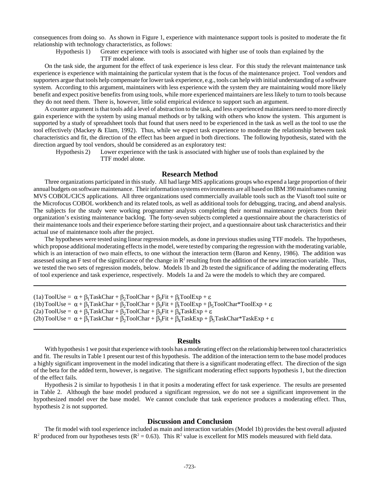consequences from doing so. As shown in Figure 1, experience with maintenance support tools is posited to moderate the fit relationship with technology characteristics, as follows:

Hypothesis 1) Greater experience with tools is associated with higher use of tools than explained by the TTF model alone.

On the task side, the argument for the effect of task experience is less clear. For this study the relevant maintenance task experience is experience with maintaining the particular system that is the focus of the maintenance project. Tool vendors and supporters argue that tools help compensate for lower task experience, e.g., tools can help with initial understanding of a software system. According to this argument, maintainers with less experience with the system they are maintaining would more likely benefit and expect positive benefits from using tools, while more experienced maintainers are less likely to turn to tools because they do not need them. There is, however, little solid empirical evidence to support such an argument.

A counter argument is that tools add a level of abstraction to the task, and less experienced maintainers need to more directly gain experience with the system by using manual methods or by talking with others who know the system. This argument is supported by a study of spreadsheet tools that found that users need to be experienced in the task as well as the tool to use the tool effectively (Mackey & Elam, 1992). Thus, while we expect task experience to moderate the relationship between task characteristics and fit, the direction of the effect has been argued in both directions. The following hypothesis, stated with the direction argued by tool vendors, should be considered as an exploratory test:

Hypothesis 2) Lower experience with the task is associated with higher use of tools than explained by the TTF model alone.

# **Research Method**

Three organizations participated in this study. All had large MIS applications groups who expend a large proportion of their annual budgets on software maintenance. Their information systems environments are all based on IBM 390 mainframes running MVS COBOL/CICS applications. All three organizations used commercially available tools such as the Viasoft tool suite or the Microfocus COBOL workbench and its related tools, as well as additional tools for debugging, tracing, and abend analysis. The subjects for the study were working programmer analysts completing their normal maintenance projects from their organization's existing maintenance backlog. The forty-seven subjects completed a questionnaire about the characteristics of their maintenance tools and their experience before starting their project, and a questionnaire about task characteristics and their actual use of maintenance tools after the project.

The hypotheses were tested using linear regression models, as done in previous studies using TTF models. The hypotheses, which propose additional moderating effects in the model, were tested by comparing the regression with the moderating variable, which is an interaction of two main effects, to one without the interaction term (Baron and Kenny, 1986). The addition was assessed using an F test of the significance of the change in  $\mathbb{R}^2$  resulting from the addition of the new interaction variable. Thus, we tested the two sets of regression models, below. Models 1b and 2b tested the significance of adding the moderating effects of tool experience and task experience, respectively. Models 1a and 2a were the models to which they are compared.

```
(1a) ToolUse = \alpha + \beta_1TaskChar + \beta_2ToolChar + \beta_3Fit + \beta_rToolExp +
(1b) ToolUse = \alpha + \beta_1TaskChar + \beta_2ToolChar + \beta_3Fit + \beta_rToolExp + \beta_5ToolChar*ToolExp +
(2a) ToolUse = \alpha + \beta_1TaskChar + \beta_2ToolChar + \beta_3Fit + \beta_4TaskExp + \varepsilon(2b) ToolUse = \alpha + \beta_1TaskChar + \beta_2ToolChar + \beta_3Fit + \beta_4TaskExp + \beta_5TaskChar*TaskExp + \varepsilon
```
#### **Results**

With hypothesis 1 we posit that experience with tools has a moderating effect on the relationship between tool characteristics and fit. The results in Table 1 present our test of this hypothesis. The addition of the interaction term to the base model produces a highly significant improvement in the model indicating that there is a significant moderating effect. The direction of the sign of the beta for the added term, however, is negative. The significant moderating effect supports hypothesis 1, but the direction of the effect fails.

Hypothesis 2 is similar to hypothesis 1 in that it posits a moderating effect for task experience. The results are presented in Table 2. Although the base model produced a significant regression, we do not see a significant improvement in the hypothesized model over the base model. We cannot conclude that task experience produces a moderating effect. Thus, hypothesis 2 is not supported.

#### **Discussion and Conclusion**

The fit model with tool experience included as main and interaction variables (Model 1b) provides the best overall adjusted  $R^2$  produced from our hypotheses tests ( $R^2 = 0.63$ ). This  $R^2$  value is excellent for MIS models measured with field data.